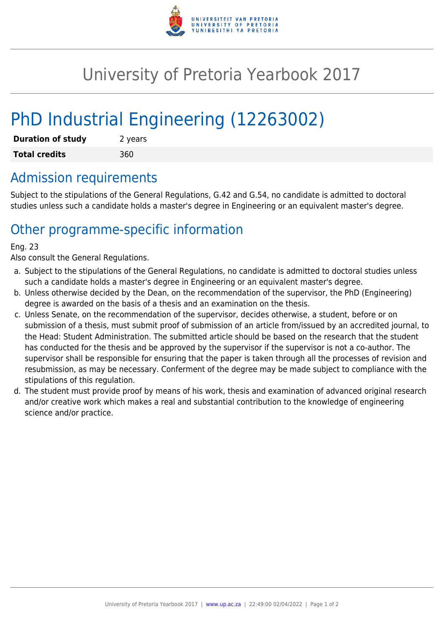

## University of Pretoria Yearbook 2017

# PhD Industrial Engineering (12263002)

| <b>Duration of study</b> | 2 years |
|--------------------------|---------|
| <b>Total credits</b>     | 360     |

### Admission requirements

Subject to the stipulations of the General Regulations, G.42 and G.54, no candidate is admitted to doctoral studies unless such a candidate holds a master's degree in Engineering or an equivalent master's degree.

## Other programme-specific information

#### Eng. 23

Also consult the General Regulations.

- a. Subject to the stipulations of the General Regulations, no candidate is admitted to doctoral studies unless such a candidate holds a master's degree in Engineering or an equivalent master's degree.
- b. Unless otherwise decided by the Dean, on the recommendation of the supervisor, the PhD (Engineering) degree is awarded on the basis of a thesis and an examination on the thesis.
- c. Unless Senate, on the recommendation of the supervisor, decides otherwise, a student, before or on submission of a thesis, must submit proof of submission of an article from/issued by an accredited journal, to the Head: Student Administration. The submitted article should be based on the research that the student has conducted for the thesis and be approved by the supervisor if the supervisor is not a co-author. The supervisor shall be responsible for ensuring that the paper is taken through all the processes of revision and resubmission, as may be necessary. Conferment of the degree may be made subject to compliance with the stipulations of this regulation.
- d. The student must provide proof by means of his work, thesis and examination of advanced original research and/or creative work which makes a real and substantial contribution to the knowledge of engineering science and/or practice.